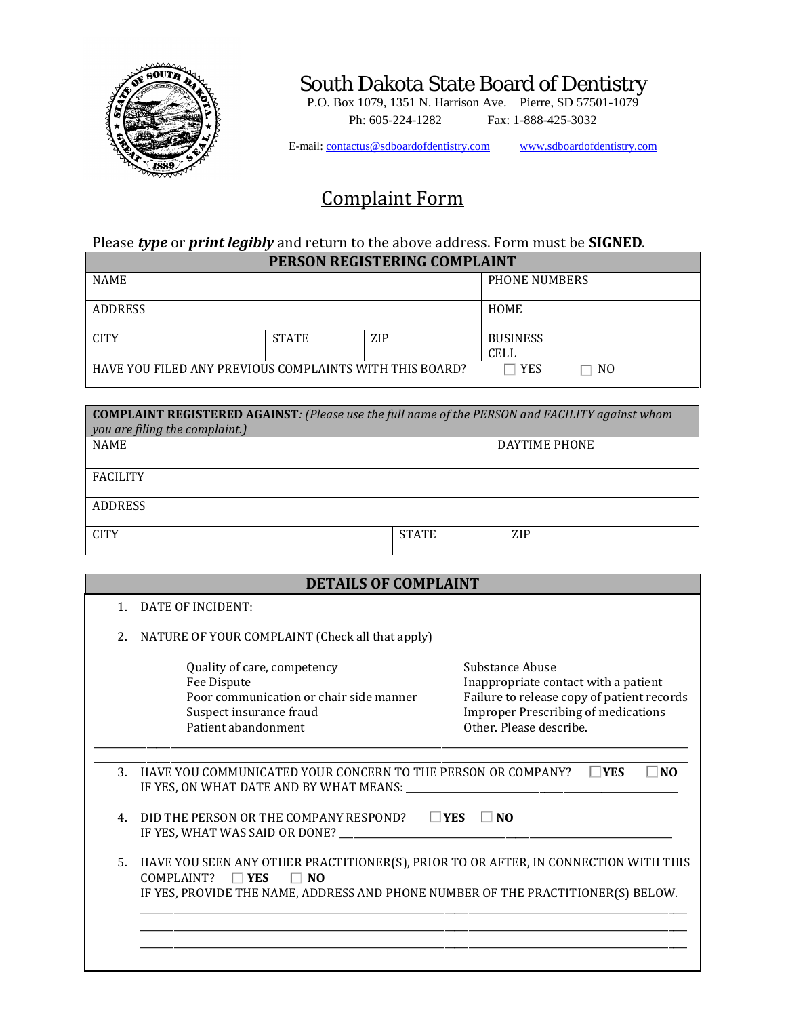

## South Dakota State Board of Dentistry

 $\cdot$ P.O. Box 1079, 1351 N. Harrison Ave. Pierre, SD 57501-1079 Ph: 605-224-1282 Fax: 1-888-425-3032

E-mail: contactus@sdboardofdentistry.com www.sdboardofdentistry.com

## Complaint Form

## Please *type* or *print legibly* and return to the above address. Form must be **SIGNED**. **PERSON REGISTERING COMPLAINT**

|                                                         | I BRJON REGIJ I BRING GOMI BRIN I |            |                 |                |  |
|---------------------------------------------------------|-----------------------------------|------------|-----------------|----------------|--|
| <b>NAME</b>                                             |                                   |            | PHONE NUMBERS   |                |  |
| <b>ADDRESS</b>                                          |                                   |            | <b>HOME</b>     |                |  |
| <b>CITY</b>                                             | <b>STATE</b>                      | <b>ZIP</b> | <b>BUSINESS</b> |                |  |
|                                                         |                                   |            | <b>CELL</b>     |                |  |
| HAVE YOU FILED ANY PREVIOUS COMPLAINTS WITH THIS BOARD? |                                   |            | <b>YES</b>      | N <sub>0</sub> |  |

| <b>COMPLAINT REGISTERED AGAINST: (Please use the full name of the PERSON and FACILITY against whom</b><br>you are filing the complaint.) |              |               |  |  |
|------------------------------------------------------------------------------------------------------------------------------------------|--------------|---------------|--|--|
| <b>NAME</b>                                                                                                                              |              | DAYTIME PHONE |  |  |
| <b>FACILITY</b>                                                                                                                          |              |               |  |  |
| <b>ADDRESS</b>                                                                                                                           |              |               |  |  |
| <b>CITY</b>                                                                                                                              | <b>STATE</b> | <b>ZIP</b>    |  |  |

|  | <b>DETAILS OF COMPLAINT</b> |
|--|-----------------------------|
|  |                             |

| $\mathbf{1}$   | DATE OF INCIDENT:                                                                                                                                                                                                     |                                                                                                                                                                                |  |
|----------------|-----------------------------------------------------------------------------------------------------------------------------------------------------------------------------------------------------------------------|--------------------------------------------------------------------------------------------------------------------------------------------------------------------------------|--|
| 2.             | NATURE OF YOUR COMPLAINT (Check all that apply)                                                                                                                                                                       |                                                                                                                                                                                |  |
|                | Quality of care, competency<br>Fee Dispute<br>Poor communication or chair side manner<br>Suspect insurance fraud<br>Patient abandonment                                                                               | Substance Abuse<br>Inappropriate contact with a patient<br>Failure to release copy of patient records<br><b>Improper Prescribing of medications</b><br>Other. Please describe. |  |
| 3.             | HAVE YOU COMMUNICATED YOUR CONCERN TO THE PERSON OR COMPANY?<br>IF YES, ON WHAT DATE AND BY WHAT MEANS: ___________                                                                                                   | ∃NO<br>∏YES                                                                                                                                                                    |  |
| $\overline{4}$ | $\square$ YES<br>DID THE PERSON OR THE COMPANY RESPOND?<br>$\Box$ No<br>IF YES, WHAT WAS SAID OR DONE? __________                                                                                                     |                                                                                                                                                                                |  |
| 5.             | HAVE YOU SEEN ANY OTHER PRACTITIONER(S), PRIOR TO OR AFTER, IN CONNECTION WITH THIS<br>COMPLAINT?<br>$\Box$ YES<br>N <sub>O</sub><br>IF YES, PROVIDE THE NAME, ADDRESS AND PHONE NUMBER OF THE PRACTITIONER(S) BELOW. |                                                                                                                                                                                |  |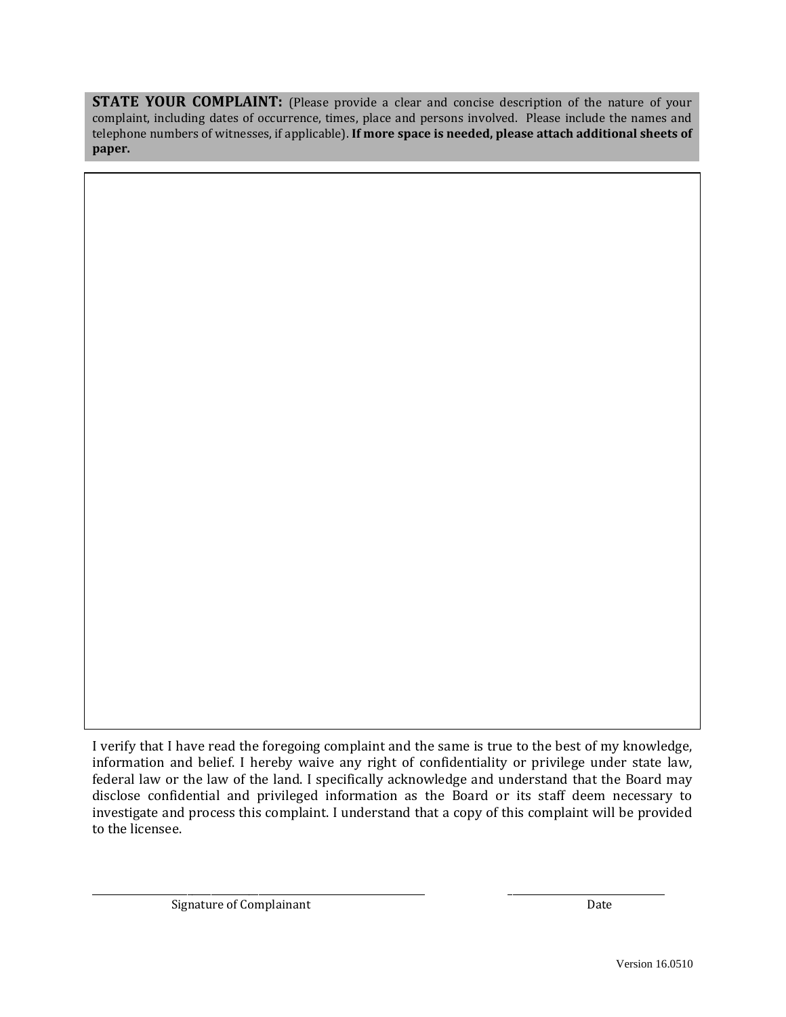**STATE YOUR COMPLAINT:** (Please provide a clear and concise description of the nature of your complaint, including dates of occurrence, times, place and persons involved. Please include the names and telephone numbers of witnesses, if applicable). **If more space is needed, please attach additional sheets of paper.**

I verify that I have read the foregoing complaint and the same is true to the best of my knowledge, information and belief. I hereby waive any right of confidentiality or privilege under state law, federal law or the law of the land. I specifically acknowledge and understand that the Board may disclose confidential and privileged information as the Board or its staff deem necessary to investigate and process this complaint. I understand that a copy of this complaint will be provided to the licensee.

\_\_\_\_\_\_\_\_\_\_\_\_\_\_\_\_\_\_\_\_\_\_\_\_\_\_\_\_\_\_\_\_\_\_\_\_\_\_\_\_\_\_\_\_\_\_\_\_\_\_\_\_\_\_\_\_\_\_\_\_\_\_\_\_\_\_\_\_\_\_ \_\_\_\_\_\_\_\_\_\_\_\_\_\_\_\_\_\_\_\_\_\_\_\_\_\_\_\_\_\_\_\_\_ Signature of Complainant Date